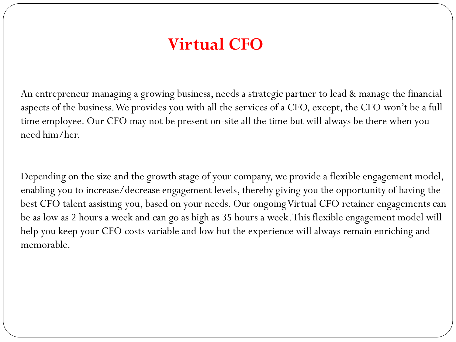## **Virtual CFO**

An entrepreneur managing a growing business, needs a strategic partner to lead & manage the financial aspects of the business. We provides you with all the services of a CFO, except, the CFO won't be a full time employee. Our CFO may not be present on-site all the time but will always be there when you need him/her.

Depending on the size and the growth stage of your company, we provide a flexible engagement model, enabling you to increase/decrease engagement levels, thereby giving you the opportunity of having the best CFO talent assisting you, based on your needs. Our ongoing Virtual CFO retainer engagements can be as low as 2 hours a week and can go as high as 35 hours a week. This flexible engagement model will help you keep your CFO costs variable and low but the experience will always remain enriching and memorable.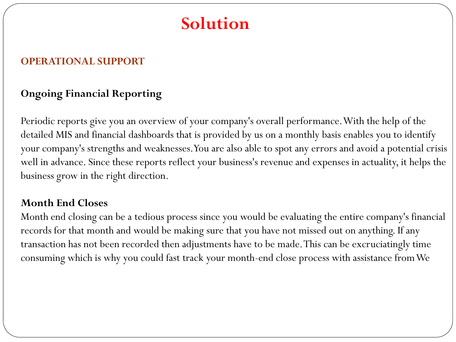### **OPERATIONAL SUPPORT**

## **Ongoing Financial Reporting**

Periodic reports give you an overview of your company's overall performance. With the help of the detailed MIS and financial dashboards that is provided by us on a monthly basis enables you to identify your company's strengths and weaknesses. You are also able to spot any errors and avoid a potential crisis well in advance. Since these reports reflect your business's revenue and expenses in actuality, it helps the business grow in the right direction.

#### **Month End Closes**

Month end closing can be a tedious process since you would be evaluating the entire company's financial records for that month and would be making sure that you have not missed out on anything. If any transaction has not been recorded then adjustments have to be made. This can be excruciatingly time consuming which is why you could fast track your month-end close process with assistance from We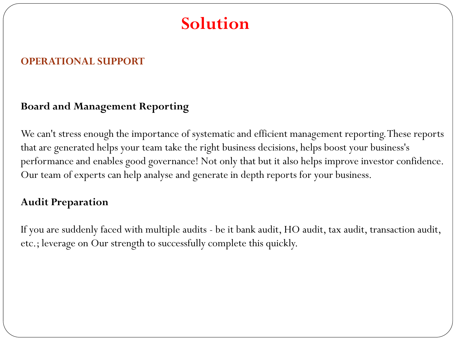### **OPERATIONAL SUPPORT**

### **Board and Management Reporting**

We can't stress enough the importance of systematic and efficient management reporting. These reports that are generated helps your team take the right business decisions, helps boost your business's performance and enables good governance! Not only that but it also helps improve investor confidence. Our team of experts can help analyse and generate in depth reports for your business.

### **Audit Preparation**

If you are suddenly faced with multiple audits - be it bank audit, HO audit, tax audit, transaction audit, etc.; leverage on Our strength to successfully complete this quickly.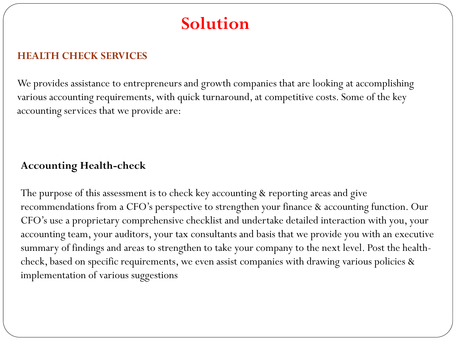### **HEALTH CHECK SERVICES**

We provides assistance to entrepreneurs and growth companies that are looking at accomplishing various accounting requirements, with quick turnaround, at competitive costs. Some of the key accounting services that we provide are:

## **Accounting Health-check**

The purpose of this assessment is to check key accounting & reporting areas and give recommendations from a CFO's perspective to strengthen your finance & accounting function. Our CFO's use a proprietary comprehensive checklist and undertake detailed interaction with you, your accounting team, your auditors, your tax consultants and basis that we provide you with an executive summary of findings and areas to strengthen to take your company to the next level. Post the healthcheck, based on specific requirements, we even assist companies with drawing various policies & implementation of various suggestions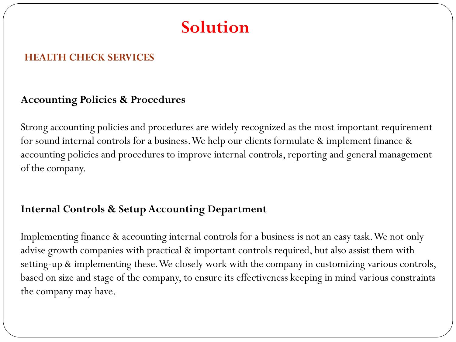#### **HEALTH CHECK SERVICES**

#### **Accounting Policies & Procedures**

Strong accounting policies and procedures are widely recognized as the most important requirement for sound internal controls for a business. We help our clients formulate & implement finance & accounting policies and procedures to improve internal controls, reporting and general management of the company.

### **Internal Controls & Setup Accounting Department**

Implementing finance & accounting internal controls for a business is not an easy task. We not only advise growth companies with practical & important controls required, but also assist them with setting-up & implementing these. We closely work with the company in customizing various controls, based on size and stage of the company, to ensure its effectiveness keeping in mind various constraints the company may have.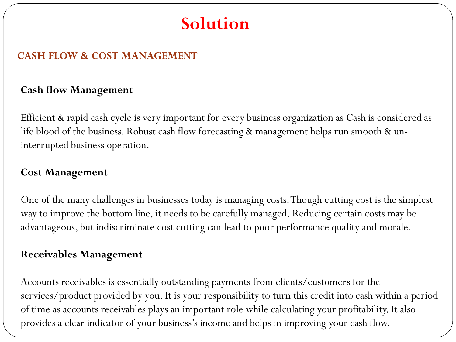#### **CASH FLOW & COST MANAGEMENT**

### **Cash flow Management**

Efficient & rapid cash cycle is very important for every business organization as Cash is considered as life blood of the business. Robust cash flow forecasting & management helps run smooth & uninterrupted business operation.

#### **Cost Management**

One of the many challenges in businesses today is managing costs. Though cutting cost is the simplest way to improve the bottom line, it needs to be carefully managed. Reducing certain costs may be advantageous, but indiscriminate cost cutting can lead to poor performance quality and morale.

#### **Receivables Management**

Accounts receivables is essentially outstanding payments from clients/customers for the services/product provided by you. It is your responsibility to turn this credit into cash within a period of time as accounts receivables plays an important role while calculating your profitability. It also provides a clear indicator of your business's income and helps in improving your cash flow.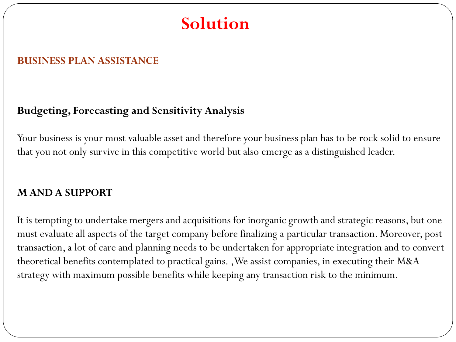#### **BUSINESS PLAN ASSISTANCE**

### **Budgeting, Forecasting and Sensitivity Analysis**

Your business is your most valuable asset and therefore your business plan has to be rock solid to ensure that you not only survive in this competitive world but also emerge as a distinguished leader.

#### **M AND A SUPPORT**

It is tempting to undertake mergers and acquisitions for inorganic growth and strategic reasons, but one must evaluate all aspects of the target company before finalizing a particular transaction. Moreover, post transaction, a lot of care and planning needs to be undertaken for appropriate integration and to convert theoretical benefits contemplated to practical gains. ,We assist companies, in executing their M&A strategy with maximum possible benefits while keeping any transaction risk to the minimum.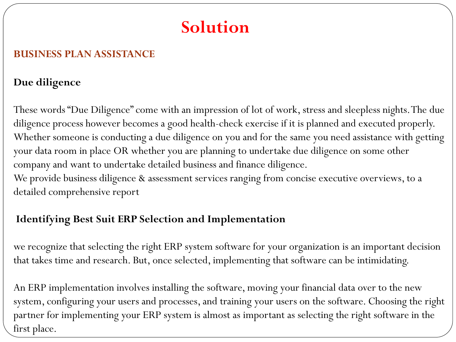### **BUSINESS PLAN ASSISTANCE**

#### **Due diligence**

These words "Due Diligence" come with an impression of lot of work, stress and sleepless nights. The due diligence process however becomes a good health-check exercise if it is planned and executed properly. Whether someone is conducting a due diligence on you and for the same you need assistance with getting your data room in place OR whether you are planning to undertake due diligence on some other company and want to undertake detailed business and finance diligence.

We provide business diligence & assessment services ranging from concise executive overviews, to a detailed comprehensive report

### **Identifying Best Suit ERP Selection and Implementation**

we recognize that selecting the right ERP system software for your organization is an important decision that takes time and research. But, once selected, implementing that software can be intimidating.

An ERP implementation involves installing the software, moving your financial data over to the new system, configuring your users and processes, and training your users on the software. Choosing the right partner for implementing your ERP system is almost as important as selecting the right software in the first place.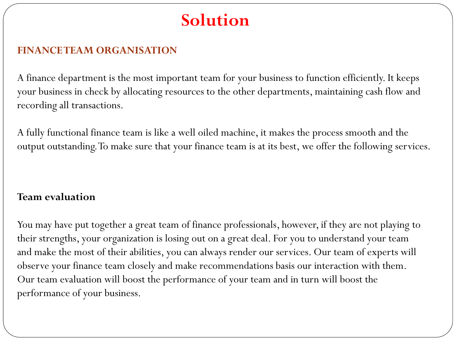### **FINANCE TEAM ORGANISATION**

A finance department is the most important team for your business to function efficiently. It keeps your business in check by allocating resources to the other departments, maintaining cash flow and recording all transactions.

A fully functional finance team is like a well oiled machine, it makes the process smooth and the output outstanding. To make sure that your finance team is at its best, we offer the following services.

### **Team evaluation**

You may have put together a great team of finance professionals, however, if they are not playing to their strengths, your organization is losing out on a great deal. For you to understand your team and make the most of their abilities, you can always render our services. Our team of experts will observe your finance team closely and make recommendations basis our interaction with them. Our team evaluation will boost the performance of your team and in turn will boost the performance of your business.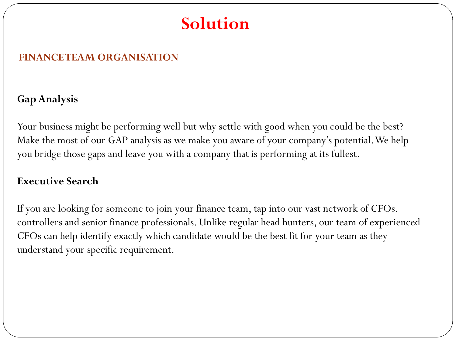#### **FINANCE TEAM ORGANISATION**

### **Gap Analysis**

Your business might be performing well but why settle with good when you could be the best? Make the most of our GAP analysis as we make you aware of your company's potential. We help you bridge those gaps and leave you with a company that is performing at its fullest.

#### **Executive Search**

If you are looking for someone to join your finance team, tap into our vast network of CFOs. controllers and senior finance professionals. Unlike regular head hunters, our team of experienced CFOs can help identify exactly which candidate would be the best fit for your team as they understand your specific requirement.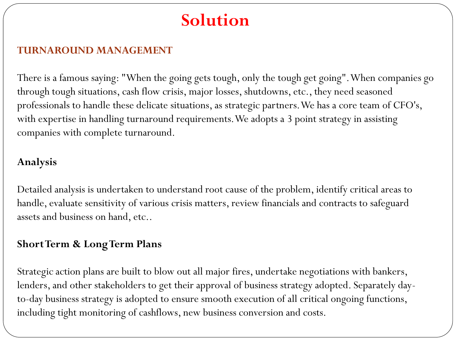#### **TURNAROUND MANAGEMENT**

There is a famous saying: "When the going gets tough, only the tough get going". When companies go through tough situations, cash flow crisis, major losses, shutdowns, etc., they need seasoned professionals to handle these delicate situations, as strategic partners. We has a core team of CFO's, with expertise in handling turnaround requirements. We adopts a 3 point strategy in assisting companies with complete turnaround.

### **Analysis**

Detailed analysis is undertaken to understand root cause of the problem, identify critical areas to handle, evaluate sensitivity of various crisis matters, review financials and contracts to safeguard assets and business on hand, etc..

### **Short Term & Long Term Plans**

Strategic action plans are built to blow out all major fires, undertake negotiations with bankers, lenders, and other stakeholders to get their approval of business strategy adopted. Separately dayto-day business strategy is adopted to ensure smooth execution of all critical ongoing functions, including tight monitoring of cashflows, new business conversion and costs.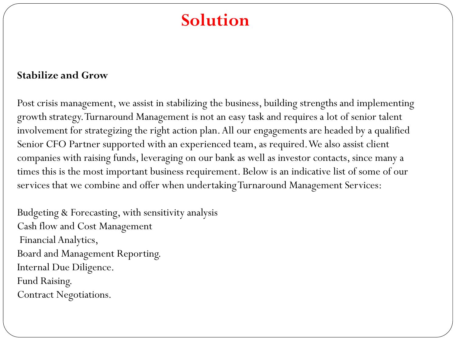#### **Stabilize and Grow**

Post crisis management, we assist in stabilizing the business, building strengths and implementing growth strategy. Turnaround Management is not an easy task and requires a lot of senior talent involvement for strategizing the right action plan. All our engagements are headed by a qualified Senior CFO Partner supported with an experienced team, as required. We also assist client companies with raising funds, leveraging on our bank as well as investor contacts, since many a times this is the most important business requirement. Below is an indicative list of some of our services that we combine and offer when undertaking Turnaround Management Services:

Budgeting & Forecasting, with sensitivity analysis Cash flow and Cost Management Financial Analytics, Board and Management Reporting. Internal Due Diligence. Fund Raising. Contract Negotiations.